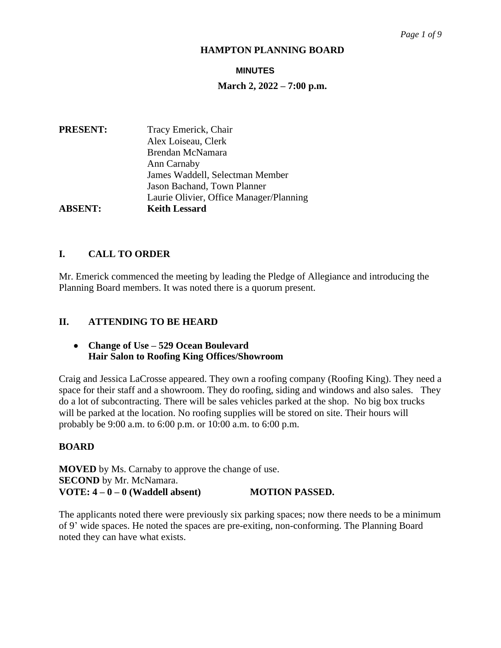#### **MINUTES**

# **March 2, 2022 – 7:00 p.m.**

| <b>PRESENT:</b> | Tracy Emerick, Chair                    |
|-----------------|-----------------------------------------|
|                 | Alex Loiseau, Clerk                     |
|                 | Brendan McNamara                        |
|                 | Ann Carnaby                             |
|                 | James Waddell, Selectman Member         |
|                 | Jason Bachand, Town Planner             |
|                 | Laurie Olivier, Office Manager/Planning |
| <b>ABSENT:</b>  | <b>Keith Lessard</b>                    |

# **I. CALL TO ORDER**

Mr. Emerick commenced the meeting by leading the Pledge of Allegiance and introducing the Planning Board members. It was noted there is a quorum present.

# **II. ATTENDING TO BE HEARD**

# **Change of Use – 529 Ocean Boulevard Hair Salon to Roofing King Offices/Showroom**

Craig and Jessica LaCrosse appeared. They own a roofing company (Roofing King). They need a space for their staff and a showroom. They do roofing, siding and windows and also sales. They do a lot of subcontracting. There will be sales vehicles parked at the shop. No big box trucks will be parked at the location. No roofing supplies will be stored on site. Their hours will probably be 9:00 a.m. to 6:00 p.m. or 10:00 a.m. to 6:00 p.m.

#### **BOARD**

**MOVED** by Ms. Carnaby to approve the change of use. **SECOND** by Mr. McNamara. **VOTE: 4 – 0 – 0 (Waddell absent) MOTION PASSED.**

The applicants noted there were previously six parking spaces; now there needs to be a minimum of 9' wide spaces. He noted the spaces are pre-exiting, non-conforming. The Planning Board noted they can have what exists.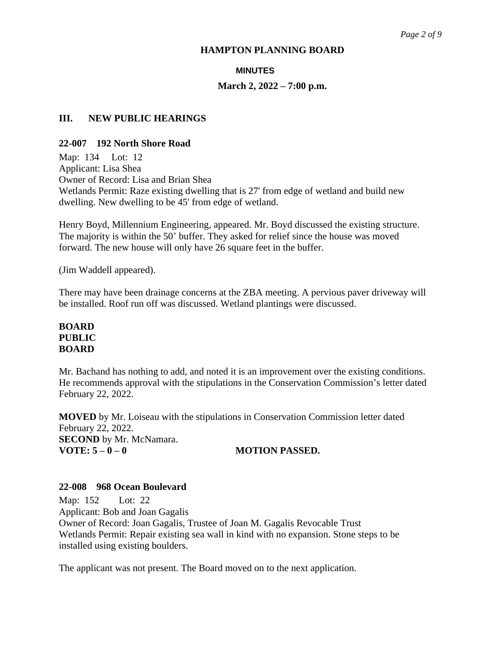# **MINUTES**

# **March 2, 2022 – 7:00 p.m.**

# **III. NEW PUBLIC HEARINGS**

# **22-007 192 North Shore Road**

Map: 134 Lot: 12 Applicant: Lisa Shea Owner of Record: Lisa and Brian Shea Wetlands Permit: Raze existing dwelling that is 27' from edge of wetland and build new dwelling. New dwelling to be 45' from edge of wetland.

Henry Boyd, Millennium Engineering, appeared. Mr. Boyd discussed the existing structure. The majority is within the 50' buffer. They asked for relief since the house was moved forward. The new house will only have 26 square feet in the buffer.

(Jim Waddell appeared).

There may have been drainage concerns at the ZBA meeting. A pervious paver driveway will be installed. Roof run off was discussed. Wetland plantings were discussed.

# **BOARD PUBLIC BOARD**

Mr. Bachand has nothing to add, and noted it is an improvement over the existing conditions. He recommends approval with the stipulations in the Conservation Commission's letter dated February 22, 2022.

**MOVED** by Mr. Loiseau with the stipulations in Conservation Commission letter dated February 22, 2022. **SECOND** by Mr. McNamara. **VOTE:**  $5-0-0$  **MOTION PASSED.** 

#### **22-008 968 Ocean Boulevard**

Map: 152 Lot: 22 Applicant: Bob and Joan Gagalis Owner of Record: Joan Gagalis, Trustee of Joan M. Gagalis Revocable Trust Wetlands Permit: Repair existing sea wall in kind with no expansion. Stone steps to be installed using existing boulders.

The applicant was not present. The Board moved on to the next application.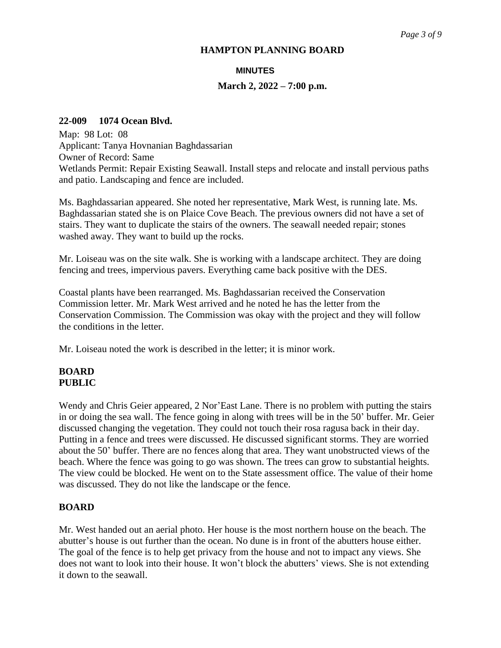#### **MINUTES**

#### **March 2, 2022 – 7:00 p.m.**

#### **22-009 1074 Ocean Blvd.**

Map: 98 Lot: 08 Applicant: Tanya Hovnanian Baghdassarian Owner of Record: Same Wetlands Permit: Repair Existing Seawall. Install steps and relocate and install pervious paths and patio. Landscaping and fence are included.

Ms. Baghdassarian appeared. She noted her representative, Mark West, is running late. Ms. Baghdassarian stated she is on Plaice Cove Beach. The previous owners did not have a set of stairs. They want to duplicate the stairs of the owners. The seawall needed repair; stones washed away. They want to build up the rocks.

Mr. Loiseau was on the site walk. She is working with a landscape architect. They are doing fencing and trees, impervious pavers. Everything came back positive with the DES.

Coastal plants have been rearranged. Ms. Baghdassarian received the Conservation Commission letter. Mr. Mark West arrived and he noted he has the letter from the Conservation Commission. The Commission was okay with the project and they will follow the conditions in the letter.

Mr. Loiseau noted the work is described in the letter; it is minor work.

# **BOARD PUBLIC**

Wendy and Chris Geier appeared, 2 Nor'East Lane. There is no problem with putting the stairs in or doing the sea wall. The fence going in along with trees will be in the 50' buffer. Mr. Geier discussed changing the vegetation. They could not touch their rosa ragusa back in their day. Putting in a fence and trees were discussed. He discussed significant storms. They are worried about the 50' buffer. There are no fences along that area. They want unobstructed views of the beach. Where the fence was going to go was shown. The trees can grow to substantial heights. The view could be blocked. He went on to the State assessment office. The value of their home was discussed. They do not like the landscape or the fence.

#### **BOARD**

Mr. West handed out an aerial photo. Her house is the most northern house on the beach. The abutter's house is out further than the ocean. No dune is in front of the abutters house either. The goal of the fence is to help get privacy from the house and not to impact any views. She does not want to look into their house. It won't block the abutters' views. She is not extending it down to the seawall.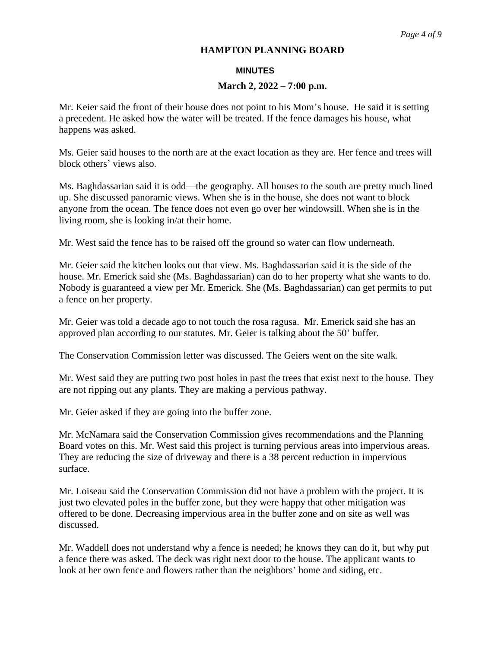#### **MINUTES**

# **March 2, 2022 – 7:00 p.m.**

Mr. Keier said the front of their house does not point to his Mom's house. He said it is setting a precedent. He asked how the water will be treated. If the fence damages his house, what happens was asked.

Ms. Geier said houses to the north are at the exact location as they are. Her fence and trees will block others' views also.

Ms. Baghdassarian said it is odd—the geography. All houses to the south are pretty much lined up. She discussed panoramic views. When she is in the house, she does not want to block anyone from the ocean. The fence does not even go over her windowsill. When she is in the living room, she is looking in/at their home.

Mr. West said the fence has to be raised off the ground so water can flow underneath.

Mr. Geier said the kitchen looks out that view. Ms. Baghdassarian said it is the side of the house. Mr. Emerick said she (Ms. Baghdassarian) can do to her property what she wants to do. Nobody is guaranteed a view per Mr. Emerick. She (Ms. Baghdassarian) can get permits to put a fence on her property.

Mr. Geier was told a decade ago to not touch the rosa ragusa. Mr. Emerick said she has an approved plan according to our statutes. Mr. Geier is talking about the 50' buffer.

The Conservation Commission letter was discussed. The Geiers went on the site walk.

Mr. West said they are putting two post holes in past the trees that exist next to the house. They are not ripping out any plants. They are making a pervious pathway.

Mr. Geier asked if they are going into the buffer zone.

Mr. McNamara said the Conservation Commission gives recommendations and the Planning Board votes on this. Mr. West said this project is turning pervious areas into impervious areas. They are reducing the size of driveway and there is a 38 percent reduction in impervious surface.

Mr. Loiseau said the Conservation Commission did not have a problem with the project. It is just two elevated poles in the buffer zone, but they were happy that other mitigation was offered to be done. Decreasing impervious area in the buffer zone and on site as well was discussed.

Mr. Waddell does not understand why a fence is needed; he knows they can do it, but why put a fence there was asked. The deck was right next door to the house. The applicant wants to look at her own fence and flowers rather than the neighbors' home and siding, etc.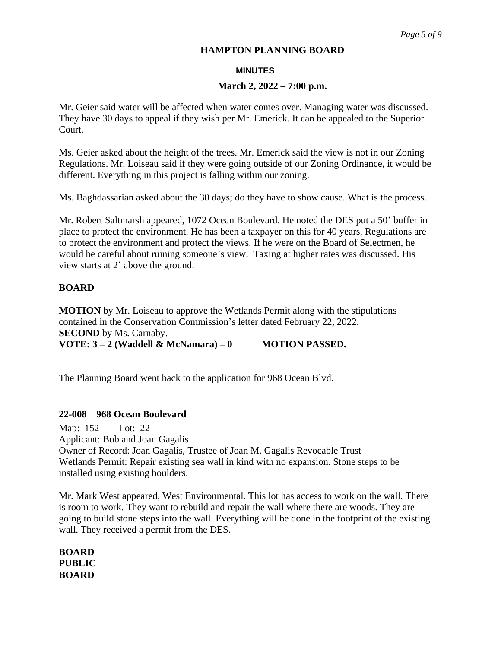#### **MINUTES**

# **March 2, 2022 – 7:00 p.m.**

Mr. Geier said water will be affected when water comes over. Managing water was discussed. They have 30 days to appeal if they wish per Mr. Emerick. It can be appealed to the Superior Court.

Ms. Geier asked about the height of the trees. Mr. Emerick said the view is not in our Zoning Regulations. Mr. Loiseau said if they were going outside of our Zoning Ordinance, it would be different. Everything in this project is falling within our zoning.

Ms. Baghdassarian asked about the 30 days; do they have to show cause. What is the process.

Mr. Robert Saltmarsh appeared, 1072 Ocean Boulevard. He noted the DES put a 50' buffer in place to protect the environment. He has been a taxpayer on this for 40 years. Regulations are to protect the environment and protect the views. If he were on the Board of Selectmen, he would be careful about ruining someone's view. Taxing at higher rates was discussed. His view starts at 2' above the ground.

# **BOARD**

**MOTION** by Mr. Loiseau to approve the Wetlands Permit along with the stipulations contained in the Conservation Commission's letter dated February 22, 2022. **SECOND** by Ms. Carnaby.

**VOTE: 3 – 2 (Waddell & McNamara) – 0 MOTION PASSED.**

The Planning Board went back to the application for 968 Ocean Blvd.

# **22-008 968 Ocean Boulevard**

Map: 152 Lot: 22 Applicant: Bob and Joan Gagalis Owner of Record: Joan Gagalis, Trustee of Joan M. Gagalis Revocable Trust Wetlands Permit: Repair existing sea wall in kind with no expansion. Stone steps to be installed using existing boulders.

Mr. Mark West appeared, West Environmental. This lot has access to work on the wall. There is room to work. They want to rebuild and repair the wall where there are woods. They are going to build stone steps into the wall. Everything will be done in the footprint of the existing wall. They received a permit from the DES.

**BOARD PUBLIC BOARD**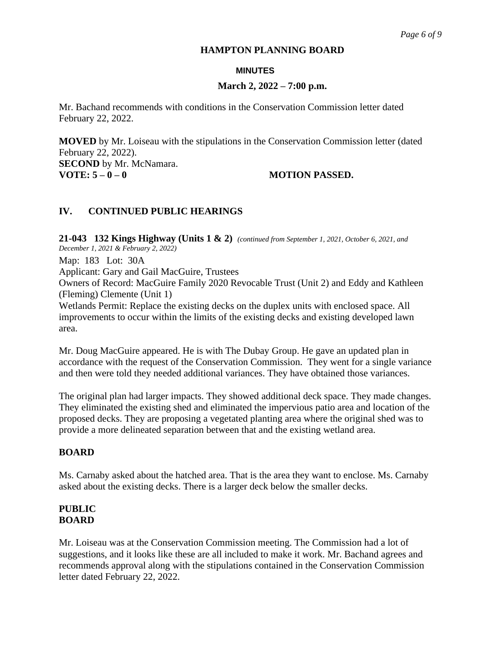#### **MINUTES**

# **March 2, 2022 – 7:00 p.m.**

Mr. Bachand recommends with conditions in the Conservation Commission letter dated February 22, 2022.

**MOVED** by Mr. Loiseau with the stipulations in the Conservation Commission letter (dated February 22, 2022).

**SECOND** by Mr. McNamara. **VOTE: 5 – 0 – 0 MOTION PASSED.**

# **IV. CONTINUED PUBLIC HEARINGS**

**21-043 132 Kings Highway (Units 1 & 2)** *(continued from September 1, 2021, October 6, 2021, and December 1, 2021 & February 2, 2022)* Map: 183 Lot: 30A

Applicant: Gary and Gail MacGuire, Trustees

Owners of Record: MacGuire Family 2020 Revocable Trust (Unit 2) and Eddy and Kathleen (Fleming) Clemente (Unit 1)

Wetlands Permit: Replace the existing decks on the duplex units with enclosed space. All improvements to occur within the limits of the existing decks and existing developed lawn area.

Mr. Doug MacGuire appeared. He is with The Dubay Group. He gave an updated plan in accordance with the request of the Conservation Commission. They went for a single variance and then were told they needed additional variances. They have obtained those variances.

The original plan had larger impacts. They showed additional deck space. They made changes. They eliminated the existing shed and eliminated the impervious patio area and location of the proposed decks. They are proposing a vegetated planting area where the original shed was to provide a more delineated separation between that and the existing wetland area.

# **BOARD**

Ms. Carnaby asked about the hatched area. That is the area they want to enclose. Ms. Carnaby asked about the existing decks. There is a larger deck below the smaller decks.

# **PUBLIC BOARD**

Mr. Loiseau was at the Conservation Commission meeting. The Commission had a lot of suggestions, and it looks like these are all included to make it work. Mr. Bachand agrees and recommends approval along with the stipulations contained in the Conservation Commission letter dated February 22, 2022.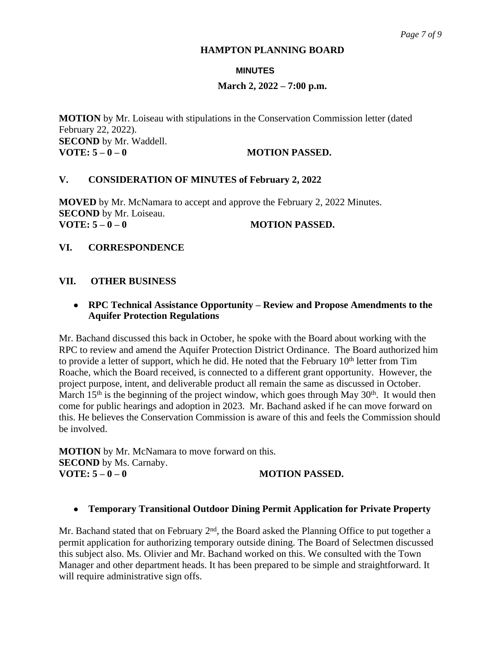### **MINUTES**

# **March 2, 2022 – 7:00 p.m.**

**MOTION** by Mr. Loiseau with stipulations in the Conservation Commission letter (dated February 22, 2022). **SECOND** by Mr. Waddell. **VOTE:**  $5-0-0$  **MOTION PASSED.** 

# **V. CONSIDERATION OF MINUTES of February 2, 2022**

**MOVED** by Mr. McNamara to accept and approve the February 2, 2022 Minutes. **SECOND** by Mr. Loiseau. **VOTE:**  $5-0-0$  **MOTION PASSED.** 

# **VI. CORRESPONDENCE**

# **VII. OTHER BUSINESS**

# **RPC Technical Assistance Opportunity – Review and Propose Amendments to the Aquifer Protection Regulations**

Mr. Bachand discussed this back in October, he spoke with the Board about working with the RPC to review and amend the Aquifer Protection District Ordinance. The Board authorized him to provide a letter of support, which he did. He noted that the February 10<sup>th</sup> letter from Tim Roache, which the Board received, is connected to a different grant opportunity. However, the project purpose, intent, and deliverable product all remain the same as discussed in October. March 15<sup>th</sup> is the beginning of the project window, which goes through May 30<sup>th</sup>. It would then come for public hearings and adoption in 2023. Mr. Bachand asked if he can move forward on this. He believes the Conservation Commission is aware of this and feels the Commission should be involved.

**MOTION** by Mr. McNamara to move forward on this. **SECOND** by Ms. Carnaby.<br>**VOTE:**  $5 - 0 - 0$ **VOTE: 5 – 0 – 0 MOTION PASSED.**

#### **Temporary Transitional Outdoor Dining Permit Application for Private Property**

Mr. Bachand stated that on February  $2<sup>nd</sup>$ , the Board asked the Planning Office to put together a permit application for authorizing temporary outside dining. The Board of Selectmen discussed this subject also. Ms. Olivier and Mr. Bachand worked on this. We consulted with the Town Manager and other department heads. It has been prepared to be simple and straightforward. It will require administrative sign offs.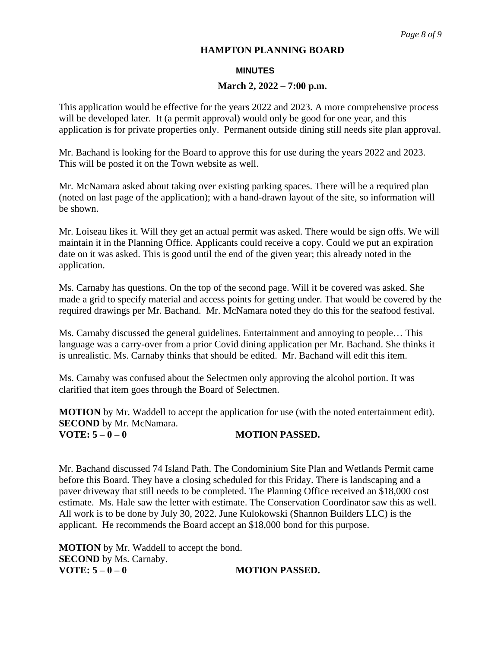#### **MINUTES**

#### **March 2, 2022 – 7:00 p.m.**

This application would be effective for the years 2022 and 2023. A more comprehensive process will be developed later. It (a permit approval) would only be good for one year, and this application is for private properties only. Permanent outside dining still needs site plan approval.

Mr. Bachand is looking for the Board to approve this for use during the years 2022 and 2023. This will be posted it on the Town website as well.

Mr. McNamara asked about taking over existing parking spaces. There will be a required plan (noted on last page of the application); with a hand-drawn layout of the site, so information will be shown.

Mr. Loiseau likes it. Will they get an actual permit was asked. There would be sign offs. We will maintain it in the Planning Office. Applicants could receive a copy. Could we put an expiration date on it was asked. This is good until the end of the given year; this already noted in the application.

Ms. Carnaby has questions. On the top of the second page. Will it be covered was asked. She made a grid to specify material and access points for getting under. That would be covered by the required drawings per Mr. Bachand. Mr. McNamara noted they do this for the seafood festival.

Ms. Carnaby discussed the general guidelines. Entertainment and annoying to people… This language was a carry-over from a prior Covid dining application per Mr. Bachand. She thinks it is unrealistic. Ms. Carnaby thinks that should be edited. Mr. Bachand will edit this item.

Ms. Carnaby was confused about the Selectmen only approving the alcohol portion. It was clarified that item goes through the Board of Selectmen.

**MOTION** by Mr. Waddell to accept the application for use (with the noted entertainment edit). **SECOND** by Mr. McNamara. **VOTE:**  $5-0-0$  **MOTION PASSED.** 

Mr. Bachand discussed 74 Island Path. The Condominium Site Plan and Wetlands Permit came before this Board. They have a closing scheduled for this Friday. There is landscaping and a paver driveway that still needs to be completed. The Planning Office received an \$18,000 cost estimate. Ms. Hale saw the letter with estimate. The Conservation Coordinator saw this as well. All work is to be done by July 30, 2022. June Kulokowski (Shannon Builders LLC) is the applicant. He recommends the Board accept an \$18,000 bond for this purpose.

**MOTION** by Mr. Waddell to accept the bond. **SECOND** by Ms. Carnaby. **VOTE:**  $5 - 0 - 0$  **MOTION PASSED.**